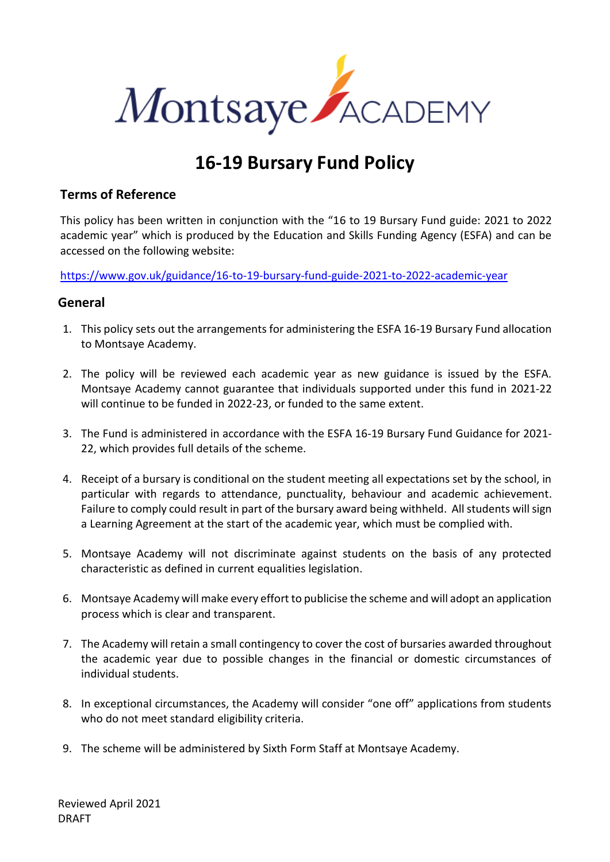

# **16-19 Bursary Fund Policy**

### **Terms of Reference**

This policy has been written in conjunction with the "16 to 19 Bursary Fund guide: 2021 to 2022 academic year" which is produced by the Education and Skills Funding Agency (ESFA) and can be accessed on the following website:

<https://www.gov.uk/guidance/16-to-19-bursary-fund-guide-2021-to-2022-academic-year>

### **General**

- 1. This policy sets out the arrangements for administering the ESFA 16-19 Bursary Fund allocation to Montsaye Academy.
- 2. The policy will be reviewed each academic year as new guidance is issued by the ESFA. Montsaye Academy cannot guarantee that individuals supported under this fund in 2021-22 will continue to be funded in 2022-23, or funded to the same extent.
- 3. The Fund is administered in accordance with the ESFA 16-19 Bursary Fund Guidance for 2021- 22, which provides full details of the scheme.
- 4. Receipt of a bursary is conditional on the student meeting all expectations set by the school, in particular with regards to attendance, punctuality, behaviour and academic achievement. Failure to comply could result in part of the bursary award being withheld. All students will sign a Learning Agreement at the start of the academic year, which must be complied with.
- 5. Montsaye Academy will not discriminate against students on the basis of any protected characteristic as defined in current equalities legislation.
- 6. Montsaye Academy will make every effort to publicise the scheme and will adopt an application process which is clear and transparent.
- 7. The Academy will retain a small contingency to cover the cost of bursaries awarded throughout the academic year due to possible changes in the financial or domestic circumstances of individual students.
- 8. In exceptional circumstances, the Academy will consider "one off" applications from students who do not meet standard eligibility criteria.
- 9. The scheme will be administered by Sixth Form Staff at Montsaye Academy.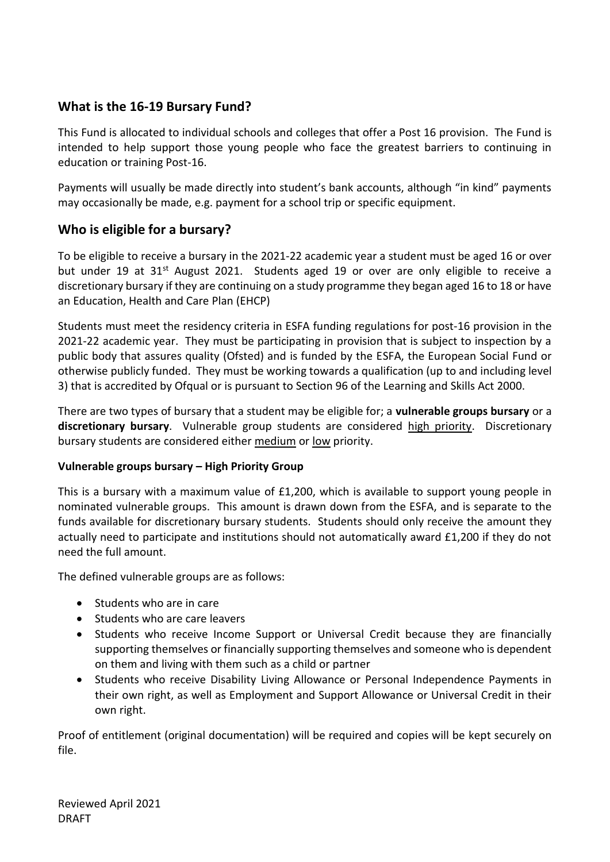## **What is the 16-19 Bursary Fund?**

This Fund is allocated to individual schools and colleges that offer a Post 16 provision. The Fund is intended to help support those young people who face the greatest barriers to continuing in education or training Post-16.

Payments will usually be made directly into student's bank accounts, although "in kind" payments may occasionally be made, e.g. payment for a school trip or specific equipment.

## **Who is eligible for a bursary?**

To be eligible to receive a bursary in the 2021-22 academic year a student must be aged 16 or over but under 19 at 31<sup>st</sup> August 2021. Students aged 19 or over are only eligible to receive a discretionary bursary if they are continuing on a study programme they began aged 16 to 18 or have an Education, Health and Care Plan (EHCP)

Students must meet the residency criteria in ESFA funding regulations for post-16 provision in the 2021-22 academic year. They must be participating in provision that is subject to inspection by a public body that assures quality (Ofsted) and is funded by the ESFA, the European Social Fund or otherwise publicly funded. They must be working towards a qualification (up to and including level 3) that is accredited by Ofqual or is pursuant to Section 96 of the Learning and Skills Act 2000.

There are two types of bursary that a student may be eligible for; a **vulnerable groups bursary** or a **discretionary bursary**. Vulnerable group students are considered high priority. Discretionary bursary students are considered either medium or low priority.

#### **Vulnerable groups bursary – High Priority Group**

This is a bursary with a maximum value of £1,200, which is available to support young people in nominated vulnerable groups. This amount is drawn down from the ESFA, and is separate to the funds available for discretionary bursary students. Students should only receive the amount they actually need to participate and institutions should not automatically award £1,200 if they do not need the full amount.

The defined vulnerable groups are as follows:

- Students who are in care
- Students who are care leavers
- Students who receive Income Support or Universal Credit because they are financially supporting themselves or financially supporting themselves and someone who is dependent on them and living with them such as a child or partner
- Students who receive Disability Living Allowance or Personal Independence Payments in their own right, as well as Employment and Support Allowance or Universal Credit in their own right.

Proof of entitlement (original documentation) will be required and copies will be kept securely on file.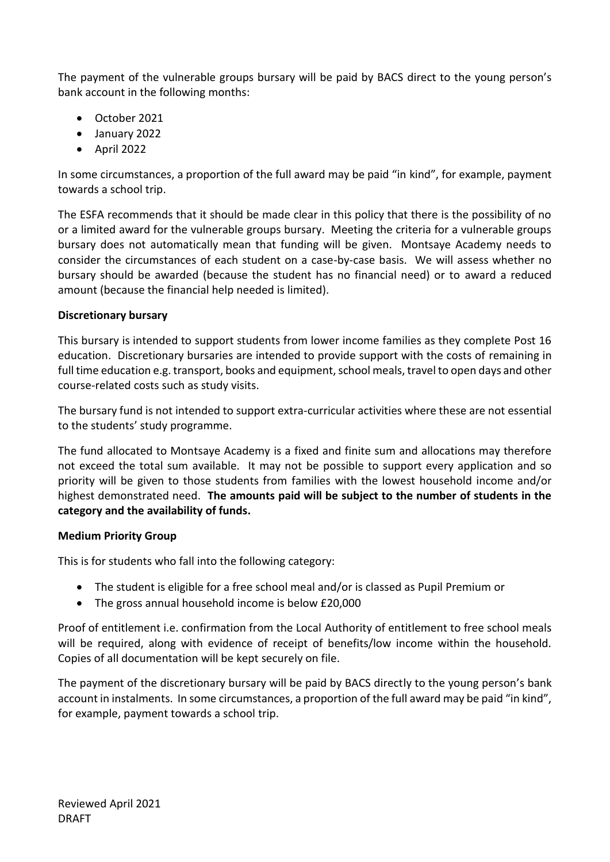The payment of the vulnerable groups bursary will be paid by BACS direct to the young person's bank account in the following months:

- October 2021
- January 2022
- April 2022

In some circumstances, a proportion of the full award may be paid "in kind", for example, payment towards a school trip.

The ESFA recommends that it should be made clear in this policy that there is the possibility of no or a limited award for the vulnerable groups bursary. Meeting the criteria for a vulnerable groups bursary does not automatically mean that funding will be given. Montsaye Academy needs to consider the circumstances of each student on a case-by-case basis. We will assess whether no bursary should be awarded (because the student has no financial need) or to award a reduced amount (because the financial help needed is limited).

### **Discretionary bursary**

This bursary is intended to support students from lower income families as they complete Post 16 education. Discretionary bursaries are intended to provide support with the costs of remaining in full time education e.g. transport, books and equipment, school meals, travel to open days and other course-related costs such as study visits.

The bursary fund is not intended to support extra-curricular activities where these are not essential to the students' study programme.

The fund allocated to Montsaye Academy is a fixed and finite sum and allocations may therefore not exceed the total sum available. It may not be possible to support every application and so priority will be given to those students from families with the lowest household income and/or highest demonstrated need. **The amounts paid will be subject to the number of students in the category and the availability of funds.**

#### **Medium Priority Group**

This is for students who fall into the following category:

- The student is eligible for a free school meal and/or is classed as Pupil Premium or
- The gross annual household income is below £20,000

Proof of entitlement i.e. confirmation from the Local Authority of entitlement to free school meals will be required, along with evidence of receipt of benefits/low income within the household. Copies of all documentation will be kept securely on file.

The payment of the discretionary bursary will be paid by BACS directly to the young person's bank account in instalments. In some circumstances, a proportion of the full award may be paid "in kind", for example, payment towards a school trip.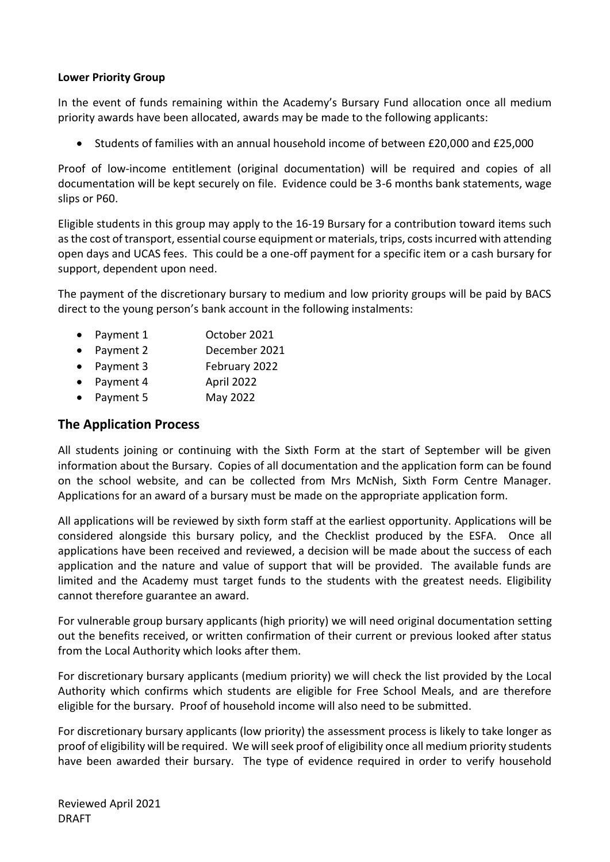#### **Lower Priority Group**

In the event of funds remaining within the Academy's Bursary Fund allocation once all medium priority awards have been allocated, awards may be made to the following applicants:

• Students of families with an annual household income of between £20,000 and £25,000

Proof of low-income entitlement (original documentation) will be required and copies of all documentation will be kept securely on file. Evidence could be 3-6 months bank statements, wage slips or P60.

Eligible students in this group may apply to the 16-19 Bursary for a contribution toward items such as the cost of transport, essential course equipment or materials, trips, costs incurred with attending open days and UCAS fees. This could be a one-off payment for a specific item or a cash bursary for support, dependent upon need.

The payment of the discretionary bursary to medium and low priority groups will be paid by BACS direct to the young person's bank account in the following instalments:

- Payment 1 October 2021
- Payment 2 December 2021
- Payment 3 February 2022
- Payment 4 April 2022
- Payment 5 May 2022

### **The Application Process**

All students joining or continuing with the Sixth Form at the start of September will be given information about the Bursary. Copies of all documentation and the application form can be found on the school website, and can be collected from Mrs McNish, Sixth Form Centre Manager. Applications for an award of a bursary must be made on the appropriate application form.

All applications will be reviewed by sixth form staff at the earliest opportunity. Applications will be considered alongside this bursary policy, and the Checklist produced by the ESFA. Once all applications have been received and reviewed, a decision will be made about the success of each application and the nature and value of support that will be provided. The available funds are limited and the Academy must target funds to the students with the greatest needs. Eligibility cannot therefore guarantee an award.

For vulnerable group bursary applicants (high priority) we will need original documentation setting out the benefits received, or written confirmation of their current or previous looked after status from the Local Authority which looks after them.

For discretionary bursary applicants (medium priority) we will check the list provided by the Local Authority which confirms which students are eligible for Free School Meals, and are therefore eligible for the bursary. Proof of household income will also need to be submitted.

For discretionary bursary applicants (low priority) the assessment process is likely to take longer as proof of eligibility will be required. We will seek proof of eligibility once all medium priority students have been awarded their bursary. The type of evidence required in order to verify household